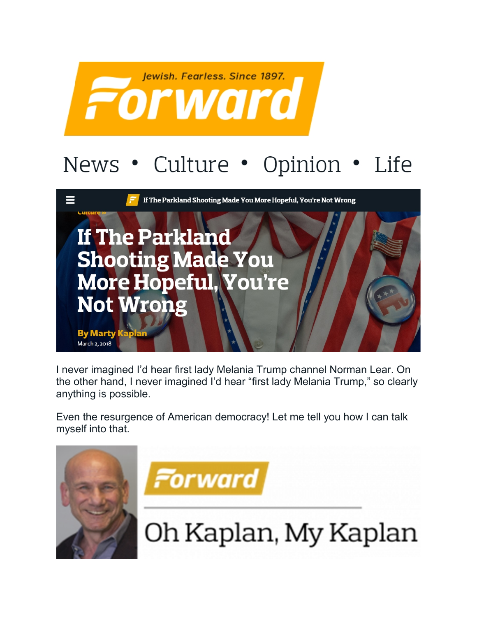

## News • Culture • Opinion • Life



I never imagined I'd hear first lady Melania Trump channel Norman Lear. On the other hand, I never imagined I'd hear "first lady Melania Trump," so clearly anything is possible.

Even the resurgence of American democracy! Let me tell you how I can talk myself into that.

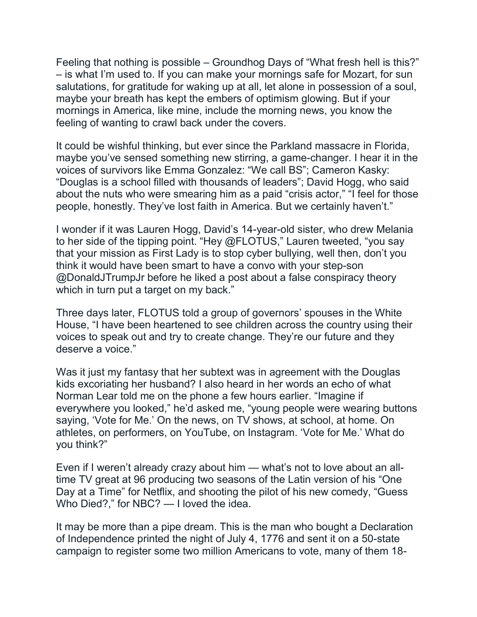Feeling that nothing is possible – Groundhog Days of "What fresh hell is this?" – is what I'm used to. If you can make your mornings safe for Mozart, for sun salutations, for gratitude for waking up at all, let alone in possession of a soul, maybe your breath has kept the embers of optimism glowing. But if your mornings in America, like mine, include the morning news, you know the feeling of wanting to crawl back under the covers.

It could be wishful thinking, but ever since the Parkland massacre in Florida, maybe you've sensed something new stirring, a game-changer. I hear it in the voices of survivors like Emma Gonzalez: "We call BS"; Cameron Kasky: "Douglas is a school filled with thousands of leaders"; David Hogg, who said about the nuts who were smearing him as a paid "crisis actor," "I feel for those people, honestly. They've lost faith in America. But we certainly haven't."

I wonder if it was Lauren Hogg, David's 14-year-old sister, who drew Melania to her side of the tipping point. "Hey @FLOTUS," Lauren tweeted, "you say that your mission as First Lady is to stop cyber bullying, well then, don't you think it would have been smart to have a convo with your step-son @DonaldJTrumpJr before he liked a post about a false conspiracy theory which in turn put a target on my back."

Three days later, FLOTUS told a group of governors' spouses in the White House, "I have been heartened to see children across the country using their voices to speak out and try to create change. They're our future and they deserve a voice."

Was it just my fantasy that her subtext was in agreement with the Douglas kids excoriating her husband? I also heard in her words an echo of what Norman Lear told me on the phone a few hours earlier. "Imagine if everywhere you looked," he'd asked me, "young people were wearing buttons saying, 'Vote for Me.' On the news, on TV shows, at school, at home. On athletes, on performers, on YouTube, on Instagram. 'Vote for Me.' What do you think?"

Even if I weren't already crazy about him — what's not to love about an alltime TV great at 96 producing two seasons of the Latin version of his "One Day at a Time" for Netflix, and shooting the pilot of his new comedy, "Guess Who Died?," for NBC? — I loved the idea.

It may be more than a pipe dream. This is the man who bought a Declaration of Independence printed the night of July 4, 1776 and sent it on a 50-state campaign to register some two million Americans to vote, many of them 18-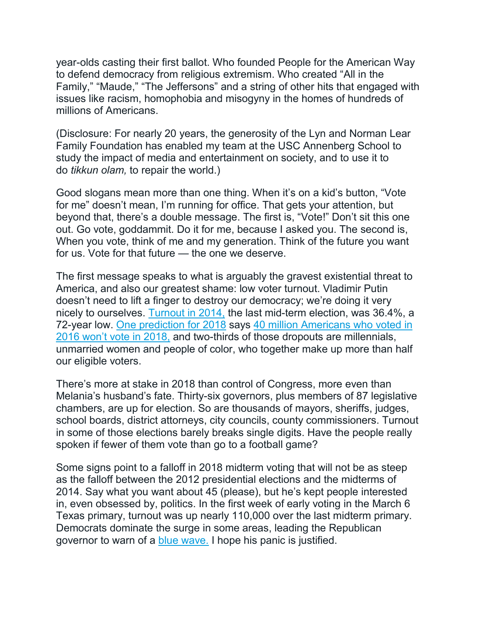year-olds casting their first ballot. Who founded People for the American Way to defend democracy from religious extremism. Who created "All in the Family," "Maude," "The Jeffersons" and a string of other hits that engaged with issues like racism, homophobia and misogyny in the homes of hundreds of millions of Americans.

(Disclosure: For nearly 20 years, the generosity of the Lyn and Norman Lear Family Foundation has enabled my team at the USC Annenberg School to study the impact of media and entertainment on society, and to use it to do *tikkun olam,* to repair the world.)

Good slogans mean more than one thing. When it's on a kid's button, "Vote for me" doesn't mean, I'm running for office. That gets your attention, but beyond that, there's a double message. The first is, "Vote!" Don't sit this one out. Go vote, goddammit. Do it for me, because I asked you. The second is, When you vote, think of me and my generation. Think of the future you want for us. Vote for that future — the one we deserve.

The first message speaks to what is arguably the gravest existential threat to America, and also our greatest shame: low voter turnout. Vladimir Putin doesn't need to lift a finger to destroy our democracy; we're doing it very nicely to ourselves. [Turnout in 2014,](http://time.com/3576090/midterm-elections-turnout-world-war-two/) the last mid-term election, was 36.4%, a 72-year low. One [prediction for 2018](http://data.voterparticipation.org/wp-content/uploads/2017/07/Report.VPC_.Drop-Off.fi_.2017.06.29.pdf) says [40 million Americans who voted in](http://thehill.com/homenews/campaign/342982-40-million-fewer-people-expected-to-vote-in-2018-study-finds)  [2016 won't vote in 2018,](http://thehill.com/homenews/campaign/342982-40-million-fewer-people-expected-to-vote-in-2018-study-finds) and two-thirds of those dropouts are millennials, unmarried women and people of color, who together make up more than half our eligible voters.

There's more at stake in 2018 than control of Congress, more even than Melania's husband's fate. Thirty-six governors, plus members of 87 legislative chambers, are up for election. So are thousands of mayors, sheriffs, judges, school boards, district attorneys, city councils, county commissioners. Turnout in some of those elections barely breaks single digits. Have the people really spoken if fewer of them vote than go to a football game?

Some signs point to a falloff in 2018 midterm voting that will not be as steep as the falloff between the 2012 presidential elections and the midterms of 2014. Say what you want about 45 (please), but he's kept people interested in, even obsessed by, politics. In the first week of early voting in the March 6 Texas primary, turnout was up nearly 110,000 over the last midterm primary. Democrats dominate the surge in some areas, leading the Republican governor to warn of a [blue wave.](http://www.star-telegram.com/news/politics-government/election/article202346979.html) I hope his panic is justified.